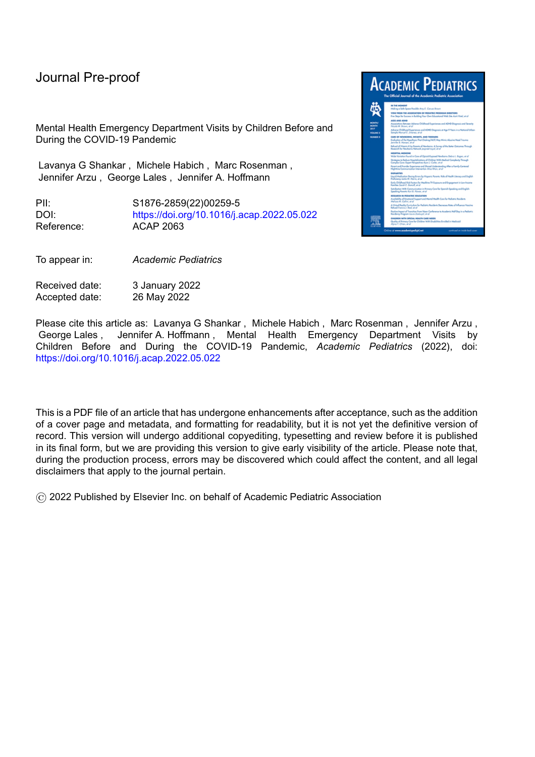Mental Health Emergency Department Visits by Children Before and During the COVID-19 Pandemic

Lavanya G Shankar , Michele Habich , Marc Rosenman , Jennifer Arzu , George Lales , Jennifer A. Hoffmann

PII: S1876-2859(22)00259-5 DOI: <https://doi.org/10.1016/j.acap.2022.05.022> Reference: ACAP 2063

To appear in: *Academic Pediatrics*

Received date: 3 January 2022 Accepted date: 26 May 2022



Please cite this article as: Lavanya G Shankar , Michele Habich , Marc Rosenman , Jennifer Arzu , George Lales , Jennifer A. Hoffmann , Mental Health Emergency Department Visits by Children Before and During the COVID-19 Pandemic, *Academic Pediatrics* (2022), doi: <https://doi.org/10.1016/j.acap.2022.05.022>

This is a PDF file of an article that has undergone enhancements after acceptance, such as the addition of a cover page and metadata, and formatting for readability, but it is not yet the definitive version of record. This version will undergo additional copyediting, typesetting and review before it is published in its final form, but we are providing this version to give early visibility of the article. Please note that, during the production process, errors may be discovered which could affect the content, and all legal disclaimers that apply to the journal pertain.

© 2022 Published by Elsevier Inc. on behalf of Academic Pediatric Association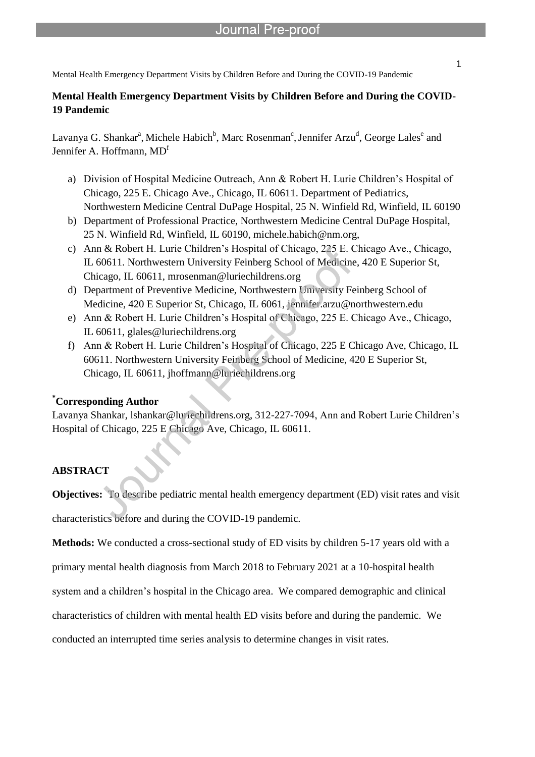l

#### **Mental Health Emergency Department Visits by Children Before and During the COVID-19 Pandemic**

Lavanya G. Shankar<sup>a</sup>, Michele Habich<sup>b</sup>, Marc Rosenman<sup>c</sup>, Jennifer Arzu<sup>d</sup>, George Lales<sup>e</sup> and Jennifer A. Hoffmann, MD<sup>f</sup>

- a) Division of Hospital Medicine Outreach, Ann & Robert H. Lurie Children's Hospital of Chicago, 225 E. Chicago Ave., Chicago, IL 60611. Department of Pediatrics, Northwestern Medicine Central DuPage Hospital, 25 N. Winfield Rd, Winfield, IL 60190
- b) Department of Professional Practice, Northwestern Medicine Central DuPage Hospital, 25 N. Winfield Rd, Winfield, IL 60190, michele.habich@nm.org,
- c) Ann & Robert H. Lurie Children's Hospital of Chicago, 225 E. Chicago Ave., Chicago, IL 60611. Northwestern University Feinberg School of Medicine, 420 E Superior St, Chicago, IL 60611, mrosenman@luriechildrens.org
- d) Department of Preventive Medicine, Northwestern University Feinberg School of Medicine, 420 E Superior St, Chicago, IL 6061, jennifer.arzu@northwestern.edu
- e) Ann & Robert H. Lurie Children's Hospital of Chicago, 225 E. Chicago Ave., Chicago, IL 60611, glales@luriechildrens.org
- f) Ann & Robert H. Lurie Children's Hospital of Chicago, 225 E Chicago Ave, Chicago, IL 60611. Northwestern University Feinberg School of Medicine, 420 E Superior St, Chicago, IL 60611, jhoffmann@luriechildrens.org

#### **\*Corresponding Author**

Lavanya Shankar, lshankar@luriechildrens.org, 312-227-7094, Ann and Robert Lurie Children's Hospital of Chicago, 225 E Chicago Ave, Chicago, IL 60611.

### **ABSTRACT**

**Objectives:** To describe pediatric mental health emergency department (ED) visit rates and visit characteristics before and during the COVID-19 pandemic.

**Methods:** We conducted a cross-sectional study of ED visits by children 5-17 years old with a

primary mental health diagnosis from March 2018 to February 2021 at a 10-hospital health

system and a children's hospital in the Chicago area. We compared demographic and clinical

characteristics of children with mental health ED visits before and during the pandemic. We

conducted an interrupted time series analysis to determine changes in visit rates.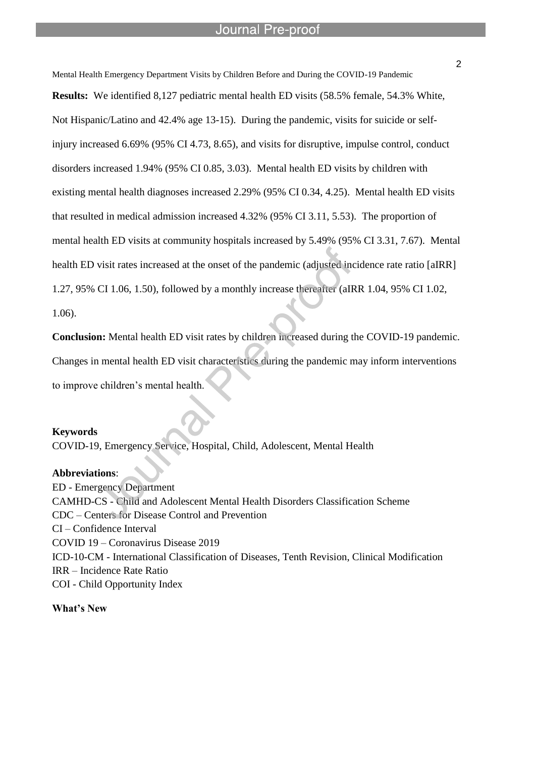l

Mental Health Emergency Department Visits by Children Before and During the COVID-19 Pandemic **Results:** We identified 8,127 pediatric mental health ED visits (58.5% female, 54.3% White, Not Hispanic/Latino and 42.4% age 13-15). During the pandemic, visits for suicide or selfinjury increased 6.69% (95% CI 4.73, 8.65), and visits for disruptive, impulse control, conduct disorders increased 1.94% (95% CI 0.85, 3.03). Mental health ED visits by children with existing mental health diagnoses increased 2.29% (95% CI 0.34, 4.25). Mental health ED visits that resulted in medical admission increased 4.32% (95% CI 3.11, 5.53). The proportion of mental health ED visits at community hospitals increased by 5.49% (95% CI 3.31, 7.67). Mental health ED visit rates increased at the onset of the pandemic (adjusted incidence rate ratio [aIRR] 1.27, 95% CI 1.06, 1.50), followed by a monthly increase thereafter (aIRR 1.04, 95% CI 1.02,

1.06).

**Conclusion:** Mental health ED visit rates by children increased during the COVID-19 pandemic. Changes in mental health ED visit characteristics during the pandemic may inform interventions to improve children's mental health.

#### **Keywords**

COVID-19, Emergency Service, Hospital, Child, Adolescent, Mental Health

#### **Abbreviations**:

ED - Emergency Department CAMHD-CS - Child and Adolescent Mental Health Disorders Classification Scheme CDC – Centers for Disease Control and Prevention CI – Confidence Interval COVID 19 – Coronavirus Disease 2019 ICD-10-CM - International Classification of Diseases, Tenth Revision, Clinical Modification IRR – Incidence Rate Ratio COI - Child Opportunity Index

**What's New**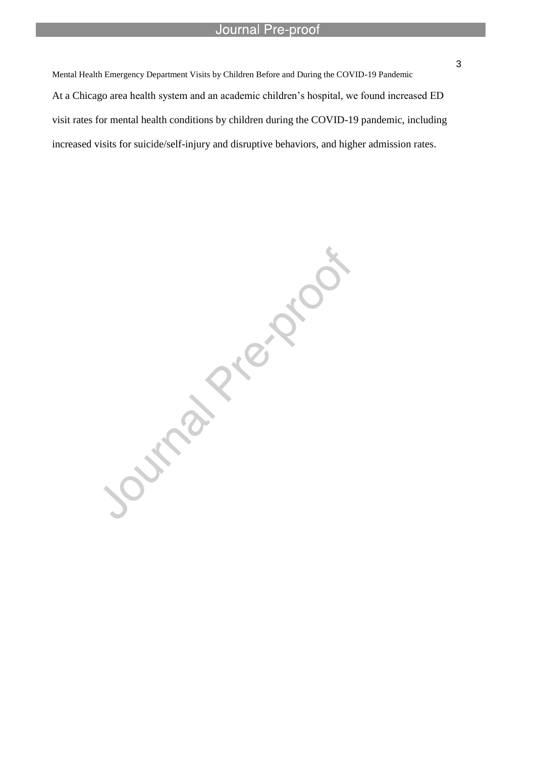Mental Health Emergency Department Visits by Children Before and During the COVID-19 Pandemic At a Chicago area health system and an academic children's hospital, we found increased ED visit rates for mental health conditions by children during the COVID-19 pandemic, including increased visits for suicide/self-injury and disruptive behaviors, and higher admission rates.

l

Journal Pricklos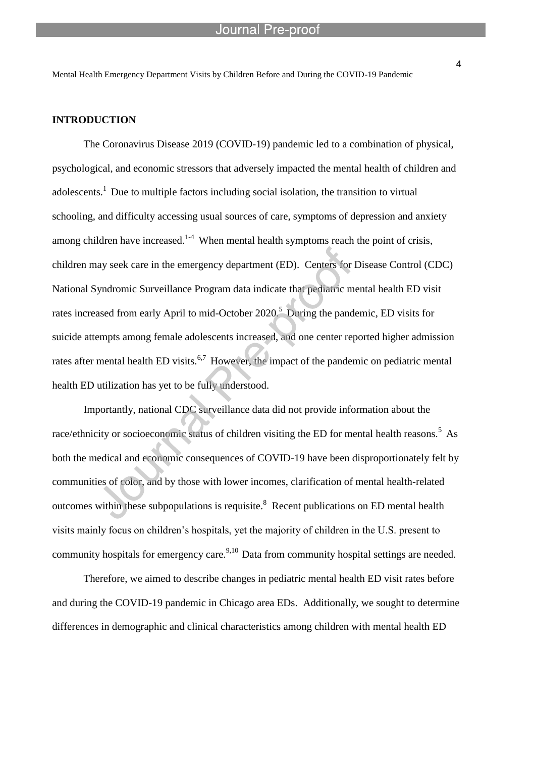l

#### **INTRODUCTION**

The Coronavirus Disease 2019 (COVID-19) pandemic led to a combination of physical, psychological, and economic stressors that adversely impacted the mental health of children and adolescents.<sup>1</sup> Due to multiple factors including social isolation, the transition to virtual schooling, and difficulty accessing usual sources of care, symptoms of depression and anxiety among children have increased.<sup>1-4</sup> When mental health symptoms reach the point of crisis, children may seek care in the emergency department (ED). Centers for Disease Control (CDC) National Syndromic Surveillance Program data indicate that pediatric mental health ED visit rates increased from early April to mid-October  $2020$ <sup>5</sup> During the pandemic, ED visits for suicide attempts among female adolescents increased, and one center reported higher admission rates after mental health ED visits.<sup>6,7</sup> However, the impact of the pandemic on pediatric mental health ED utilization has yet to be fully understood.

Importantly, national CDC surveillance data did not provide information about the race/ethnicity or socioeconomic status of children visiting the ED for mental health reasons.<sup>5</sup> As both the medical and economic consequences of COVID-19 have been disproportionately felt by communities of color, and by those with lower incomes, clarification of mental health-related outcomes within these subpopulations is requisite.<sup>8</sup> Recent publications on ED mental health visits mainly focus on children's hospitals, yet the majority of children in the U.S. present to community hospitals for emergency care.<sup>9,10</sup> Data from community hospital settings are needed.

Therefore, we aimed to describe changes in pediatric mental health ED visit rates before and during the COVID-19 pandemic in Chicago area EDs. Additionally, we sought to determine differences in demographic and clinical characteristics among children with mental health ED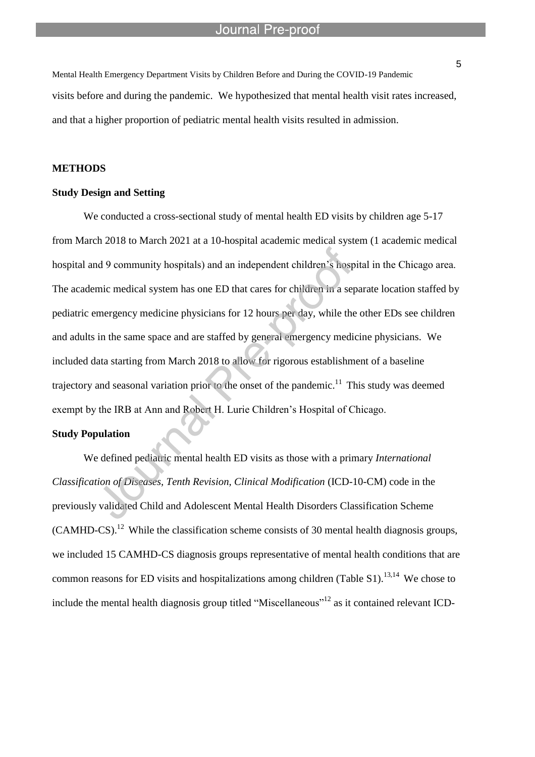Mental Health Emergency Department Visits by Children Before and During the COVID-19 Pandemic visits before and during the pandemic. We hypothesized that mental health visit rates increased, and that a higher proportion of pediatric mental health visits resulted in admission.

l

#### **METHODS**

#### **Study Design and Setting**

We conducted a cross-sectional study of mental health ED visits by children age 5-17 from March 2018 to March 2021 at a 10-hospital academic medical system (1 academic medical hospital and 9 community hospitals) and an independent children's hospital in the Chicago area. The academic medical system has one ED that cares for children in a separate location staffed by pediatric emergency medicine physicians for 12 hours per day, while the other EDs see children and adults in the same space and are staffed by general emergency medicine physicians. We included data starting from March 2018 to allow for rigorous establishment of a baseline trajectory and seasonal variation prior to the onset of the pandemic.<sup>11</sup> This study was deemed exempt by the IRB at Ann and Robert H. Lurie Children's Hospital of Chicago.

#### **Study Population**

We defined pediatric mental health ED visits as those with a primary *International Classification of Diseases, Tenth Revision, Clinical Modification* (ICD-10-CM) code in the previously validated Child and Adolescent Mental Health Disorders Classification Scheme  $(CAMHD-CS).<sup>12</sup>$  While the classification scheme consists of 30 mental health diagnosis groups, we included 15 CAMHD-CS diagnosis groups representative of mental health conditions that are common reasons for ED visits and hospitalizations among children (Table S1).<sup>13,14</sup> We chose to include the mental health diagnosis group titled "Miscellaneous"<sup>12</sup> as it contained relevant ICD-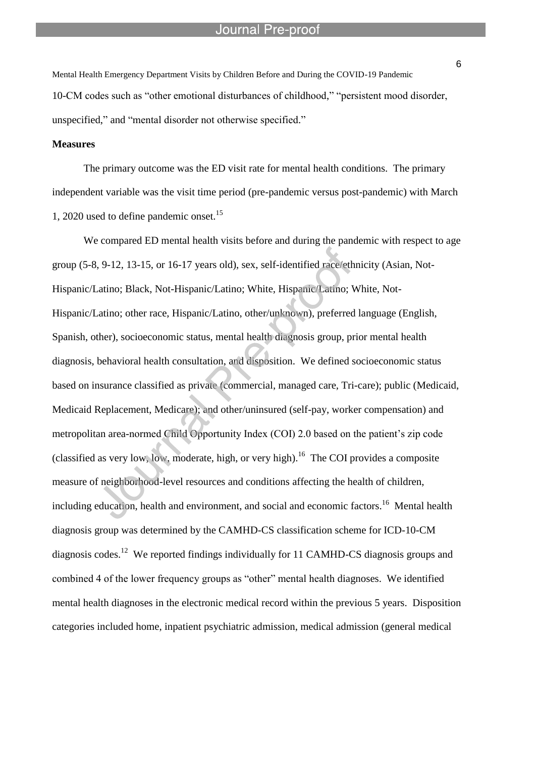Mental Health Emergency Department Visits by Children Before and During the COVID-19 Pandemic 10-CM codes such as "other emotional disturbances of childhood," "persistent mood disorder, unspecified," and "mental disorder not otherwise specified."

l

#### **Measures**

The primary outcome was the ED visit rate for mental health conditions. The primary independent variable was the visit time period (pre-pandemic versus post-pandemic) with March 1, 2020 used to define pandemic onset.<sup>15</sup>

We compared ED mental health visits before and during the pandemic with respect to age group (5-8, 9-12, 13-15, or 16-17 years old), sex, self-identified race/ethnicity (Asian, Not-Hispanic/Latino; Black, Not-Hispanic/Latino; White, Hispanic/Latino; White, Not-Hispanic/Latino; other race, Hispanic/Latino, other/unknown), preferred language (English, Spanish, other), socioeconomic status, mental health diagnosis group, prior mental health diagnosis, behavioral health consultation, and disposition. We defined socioeconomic status based on insurance classified as private (commercial, managed care, Tri-care); public (Medicaid, Medicaid Replacement, Medicare); and other/uninsured (self-pay, worker compensation) and metropolitan area-normed Child Opportunity Index (COI) 2.0 based on the patient's zip code (classified as very low, low, moderate, high, or very high).<sup>16</sup> The COI provides a composite measure of neighborhood-level resources and conditions affecting the health of children, including education, health and environment, and social and economic factors.<sup>16</sup> Mental health diagnosis group was determined by the CAMHD-CS classification scheme for ICD-10-CM diagnosis codes.<sup>12</sup> We reported findings individually for 11 CAMHD-CS diagnosis groups and combined 4 of the lower frequency groups as "other" mental health diagnoses. We identified mental health diagnoses in the electronic medical record within the previous 5 years. Disposition categories included home, inpatient psychiatric admission, medical admission (general medical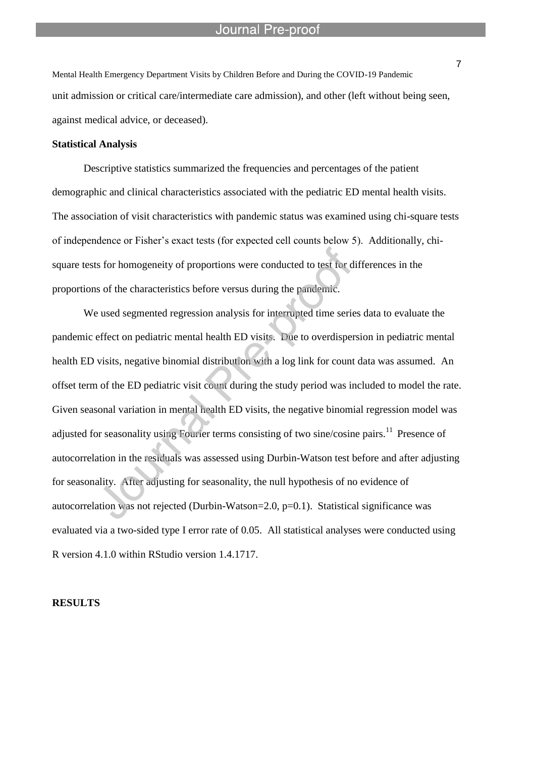Mental Health Emergency Department Visits by Children Before and During the COVID-19 Pandemic unit admission or critical care/intermediate care admission), and other (left without being seen, against medical advice, or deceased).

l

#### **Statistical Analysis**

Descriptive statistics summarized the frequencies and percentages of the patient demographic and clinical characteristics associated with the pediatric ED mental health visits. The association of visit characteristics with pandemic status was examined using chi-square tests of independence or Fisher's exact tests (for expected cell counts below 5). Additionally, chisquare tests for homogeneity of proportions were conducted to test for differences in the proportions of the characteristics before versus during the pandemic.

We used segmented regression analysis for interrupted time series data to evaluate the pandemic effect on pediatric mental health ED visits. Due to overdispersion in pediatric mental health ED visits, negative binomial distribution with a log link for count data was assumed. An offset term of the ED pediatric visit count during the study period was included to model the rate. Given seasonal variation in mental health ED visits, the negative binomial regression model was adjusted for seasonality using Fourier terms consisting of two sine/cosine pairs.<sup>11</sup> Presence of autocorrelation in the residuals was assessed using Durbin-Watson test before and after adjusting for seasonality. After adjusting for seasonality, the null hypothesis of no evidence of autocorrelation was not rejected (Durbin-Watson=2.0, p=0.1). Statistical significance was evaluated via a two-sided type I error rate of 0.05. All statistical analyses were conducted using R version 4.1.0 within RStudio version 1.4.1717.

#### **RESULTS**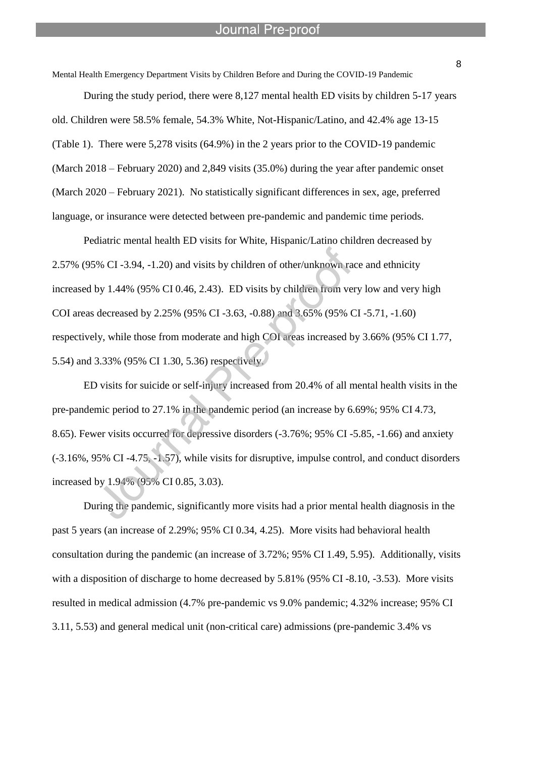Mental Health Emergency Department Visits by Children Before and During the COVID-19 Pandemic

l

During the study period, there were 8,127 mental health ED visits by children 5-17 years old. Children were 58.5% female, 54.3% White, Not-Hispanic/Latino, and 42.4% age 13-15 (Table 1). There were 5,278 visits (64.9%) in the 2 years prior to the COVID-19 pandemic (March 2018 – February 2020) and 2,849 visits (35.0%) during the year after pandemic onset (March 2020 – February 2021). No statistically significant differences in sex, age, preferred language, or insurance were detected between pre-pandemic and pandemic time periods.

Pediatric mental health ED visits for White, Hispanic/Latino children decreased by 2.57% (95% CI -3.94, -1.20) and visits by children of other/unknown race and ethnicity increased by 1.44% (95% CI 0.46, 2.43). ED visits by children from very low and very high COI areas decreased by 2.25% (95% CI -3.63, -0.88) and 3.65% (95% CI -5.71, -1.60) respectively, while those from moderate and high COI areas increased by 3.66% (95% CI 1.77, 5.54) and 3.33% (95% CI 1.30, 5.36) respectively.

 ED visits for suicide or self-injury increased from 20.4% of all mental health visits in the pre-pandemic period to 27.1% in the pandemic period (an increase by 6.69%; 95% CI 4.73, 8.65). Fewer visits occurred for depressive disorders (-3.76%; 95% CI -5.85, -1.66) and anxiety (-3.16%, 95% CI -4.75, -1.57), while visits for disruptive, impulse control, and conduct disorders increased by 1.94% (95% CI 0.85, 3.03).

 During the pandemic, significantly more visits had a prior mental health diagnosis in the past 5 years (an increase of 2.29%; 95% CI 0.34, 4.25). More visits had behavioral health consultation during the pandemic (an increase of 3.72%; 95% CI 1.49, 5.95). Additionally, visits with a disposition of discharge to home decreased by 5.81% (95% CI-8.10, -3.53). More visits resulted in medical admission (4.7% pre-pandemic vs 9.0% pandemic; 4.32% increase; 95% CI 3.11, 5.53) and general medical unit (non-critical care) admissions (pre-pandemic 3.4% vs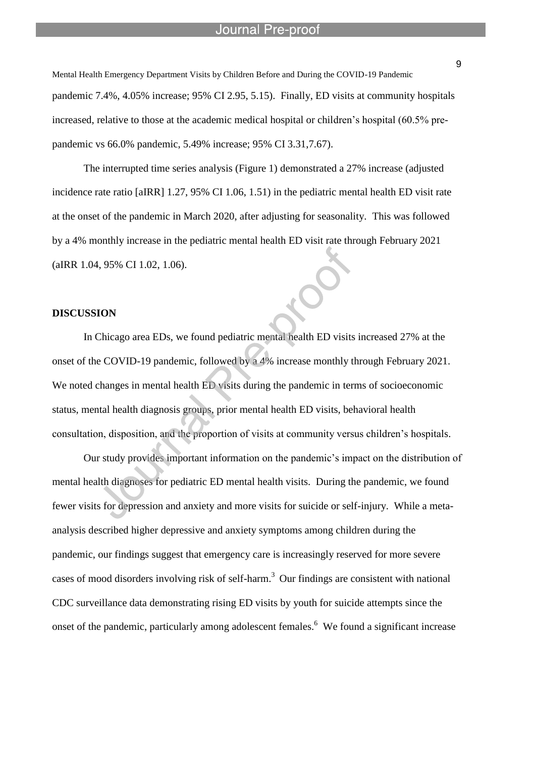Mental Health Emergency Department Visits by Children Before and During the COVID-19 Pandemic pandemic 7.4%, 4.05% increase; 95% CI 2.95, 5.15). Finally, ED visits at community hospitals increased, relative to those at the academic medical hospital or children's hospital (60.5% prepandemic vs 66.0% pandemic, 5.49% increase; 95% CI 3.31,7.67).

l

 The interrupted time series analysis (Figure 1) demonstrated a 27% increase (adjusted incidence rate ratio [aIRR] 1.27, 95% CI 1.06, 1.51) in the pediatric mental health ED visit rate at the onset of the pandemic in March 2020, after adjusting for seasonality. This was followed by a 4% monthly increase in the pediatric mental health ED visit rate through February 2021 (aIRR 1.04, 95% CI 1.02, 1.06).

#### **DISCUSSION**

 In Chicago area EDs, we found pediatric mental health ED visits increased 27% at the onset of the COVID-19 pandemic, followed by a 4% increase monthly through February 2021. We noted changes in mental health ED visits during the pandemic in terms of socioeconomic status, mental health diagnosis groups, prior mental health ED visits, behavioral health consultation, disposition, and the proportion of visits at community versus children's hospitals.

 Our study provides important information on the pandemic's impact on the distribution of mental health diagnoses for pediatric ED mental health visits. During the pandemic, we found fewer visits for depression and anxiety and more visits for suicide or self-injury. While a metaanalysis described higher depressive and anxiety symptoms among children during the pandemic, our findings suggest that emergency care is increasingly reserved for more severe cases of mood disorders involving risk of self-harm.<sup>3</sup> Our findings are consistent with national CDC surveillance data demonstrating rising ED visits by youth for suicide attempts since the onset of the pandemic, particularly among adolescent females.<sup>6</sup> We found a significant increase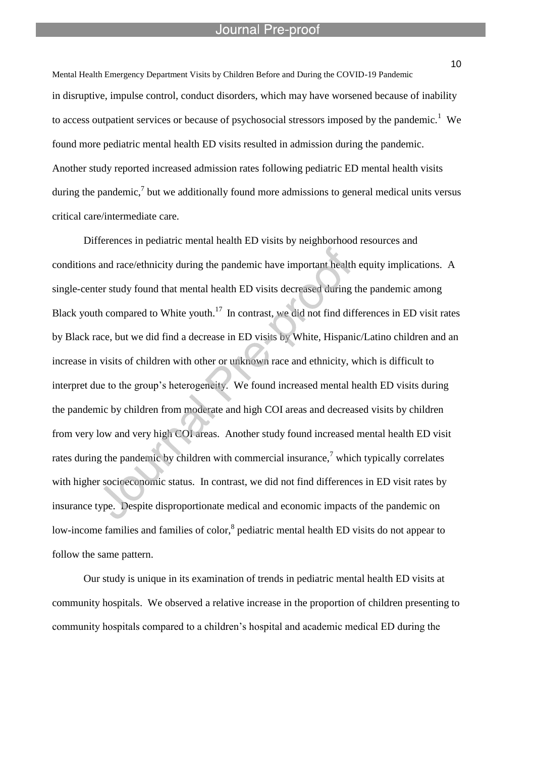l

Mental Health Emergency Department Visits by Children Before and During the COVID-19 Pandemic in disruptive, impulse control, conduct disorders, which may have worsened because of inability to access outpatient services or because of psychosocial stressors imposed by the pandemic.<sup>1</sup> We found more pediatric mental health ED visits resulted in admission during the pandemic. Another study reported increased admission rates following pediatric ED mental health visits during the pandemic,<sup>7</sup> but we additionally found more admissions to general medical units versus critical care/intermediate care.

Differences in pediatric mental health ED visits by neighborhood resources and conditions and race/ethnicity during the pandemic have important health equity implications. A single-center study found that mental health ED visits decreased during the pandemic among Black youth compared to White youth.<sup>17</sup> In contrast, we did not find differences in ED visit rates by Black race, but we did find a decrease in ED visits by White, Hispanic/Latino children and an increase in visits of children with other or unknown race and ethnicity, which is difficult to interpret due to the group's heterogeneity. We found increased mental health ED visits during the pandemic by children from moderate and high COI areas and decreased visits by children from very low and very high COI areas. Another study found increased mental health ED visit rates during the pandemic by children with commercial insurance.<sup>7</sup> which typically correlates with higher socioeconomic status. In contrast, we did not find differences in ED visit rates by insurance type. Despite disproportionate medical and economic impacts of the pandemic on low-income families and families of color,  $\delta$  pediatric mental health ED visits do not appear to follow the same pattern.

 Our study is unique in its examination of trends in pediatric mental health ED visits at community hospitals. We observed a relative increase in the proportion of children presenting to community hospitals compared to a children's hospital and academic medical ED during the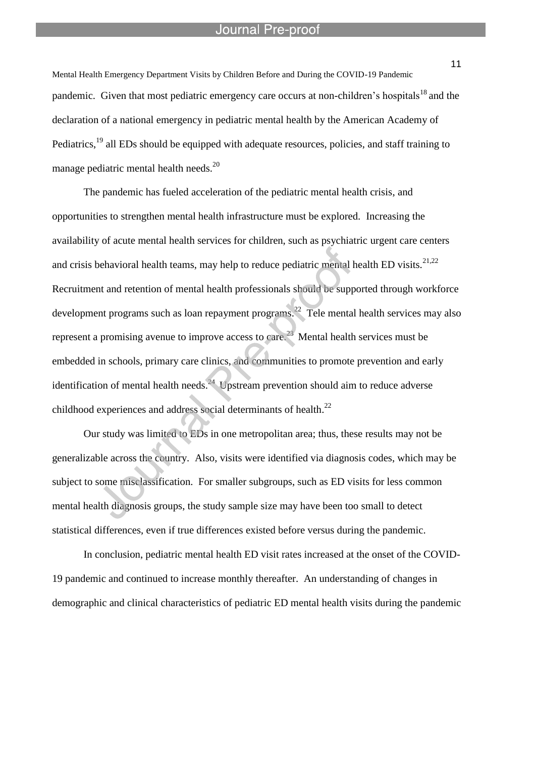l

Mental Health Emergency Department Visits by Children Before and During the COVID-19 Pandemic pandemic. Given that most pediatric emergency care occurs at non-children's hospitals<sup>18</sup> and the declaration of a national emergency in pediatric mental health by the American Academy of Pediatrics,<sup>19</sup> all EDs should be equipped with adequate resources, policies, and staff training to manage pediatric mental health needs.<sup>20</sup>

The pandemic has fueled acceleration of the pediatric mental health crisis, and opportunities to strengthen mental health infrastructure must be explored. Increasing the availability of acute mental health services for children, such as psychiatric urgent care centers and crisis behavioral health teams, may help to reduce pediatric mental health ED visits.<sup>21,22</sup> Recruitment and retention of mental health professionals should be supported through workforce development programs such as loan repayment programs.<sup>22</sup> Tele mental health services may also represent a promising avenue to improve access to care.<sup>23</sup> Mental health services must be embedded in schools, primary care clinics, and communities to promote prevention and early identification of mental health needs.<sup>24</sup> Upstream prevention should aim to reduce adverse childhood experiences and address social determinants of health.<sup>22</sup>

Our study was limited to EDs in one metropolitan area; thus, these results may not be generalizable across the country. Also, visits were identified via diagnosis codes, which may be subject to some misclassification. For smaller subgroups, such as ED visits for less common mental health diagnosis groups, the study sample size may have been too small to detect statistical differences, even if true differences existed before versus during the pandemic.

 In conclusion, pediatric mental health ED visit rates increased at the onset of the COVID-19 pandemic and continued to increase monthly thereafter. An understanding of changes in demographic and clinical characteristics of pediatric ED mental health visits during the pandemic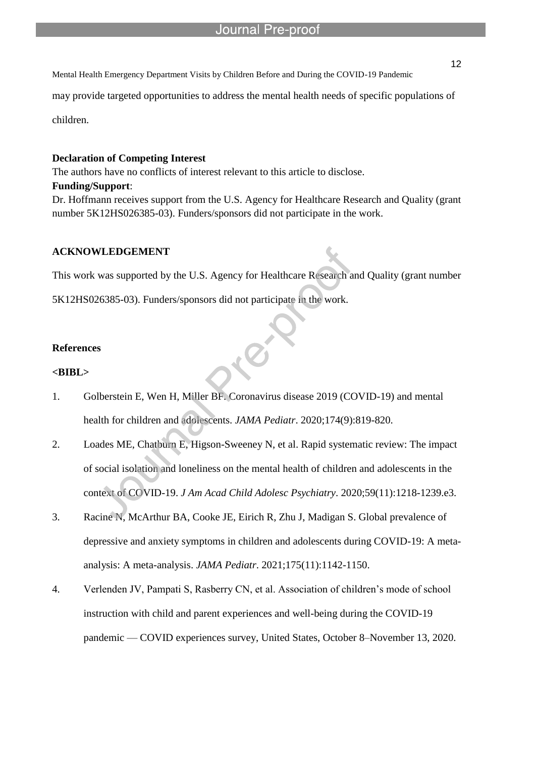may provide targeted opportunities to address the mental health needs of specific populations of

children.

#### **Declaration of Competing Interest**

The authors have no conflicts of interest relevant to this article to disclose.

l

#### **Funding/Support**:

Dr. Hoffmann receives support from the U.S. Agency for Healthcare Research and Quality (grant number 5K12HS026385-03). Funders/sponsors did not participate in the work.

#### **ACKNOWLEDGEMENT**

This work was supported by the U.S. Agency for Healthcare Research and Quality (grant number

5K12HS026385-03). Funders/sponsors did not participate in the work.

#### **References**

#### **<BIBL>**

- 1. Golberstein E, Wen H, Miller BF. Coronavirus disease 2019 (COVID-19) and mental health for children and adolescents. *JAMA Pediatr*. 2020;174(9):819-820.
- 2. Loades ME, Chatburn E, Higson-Sweeney N, et al. Rapid systematic review: The impact of social isolation and loneliness on the mental health of children and adolescents in the context of COVID-19. *J Am Acad Child Adolesc Psychiatry*. 2020;59(11):1218-1239.e3.
- 3. Racine N, McArthur BA, Cooke JE, Eirich R, Zhu J, Madigan S. Global prevalence of depressive and anxiety symptoms in children and adolescents during COVID-19: A metaanalysis: A meta-analysis. *JAMA Pediatr*. 2021;175(11):1142-1150.
- 4. Verlenden JV, Pampati S, Rasberry CN, et al. Association of children's mode of school instruction with child and parent experiences and well-being during the COVID-19 pandemic — COVID experiences survey, United States, October 8–November 13, 2020.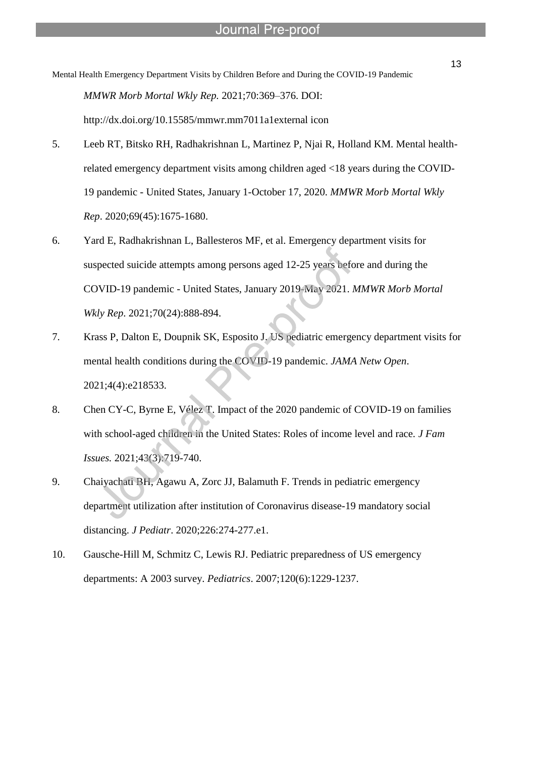Mental Health Emergency Department Visits by Children Before and During the COVID-19 Pandemic *MMWR Morb Mortal Wkly Rep.* 2021;70:369–376. DOI: http://dx.doi.org/10.15585/mmwr.mm7011a1external icon

l

- 5. Leeb RT, Bitsko RH, Radhakrishnan L, Martinez P, Njai R, Holland KM. Mental healthrelated emergency department visits among children aged <18 years during the COVID-19 pandemic - United States, January 1-October 17, 2020. *MMWR Morb Mortal Wkly Rep*. 2020;69(45):1675-1680.
- 6. Yard E, Radhakrishnan L, Ballesteros MF, et al. Emergency department visits for suspected suicide attempts among persons aged 12-25 years before and during the COVID-19 pandemic - United States, January 2019-May 2021. *MMWR Morb Mortal Wkly Rep*. 2021;70(24):888-894.
- 7. Krass P, Dalton E, Doupnik SK, Esposito J. US pediatric emergency department visits for mental health conditions during the COVID-19 pandemic. *JAMA Netw Open*. 2021;4(4):e218533.
- 8. Chen CY-C, Byrne E, Vélez T. Impact of the 2020 pandemic of COVID-19 on families with school-aged children in the United States: Roles of income level and race. *J Fam Issues.* 2021;43(3):719-740.
- 9. Chaiyachati BH, Agawu A, Zorc JJ, Balamuth F. Trends in pediatric emergency department utilization after institution of Coronavirus disease-19 mandatory social distancing. *J Pediatr*. 2020;226:274-277.e1.
- 10. Gausche-Hill M, Schmitz C, Lewis RJ. Pediatric preparedness of US emergency departments: A 2003 survey. *Pediatrics*. 2007;120(6):1229-1237.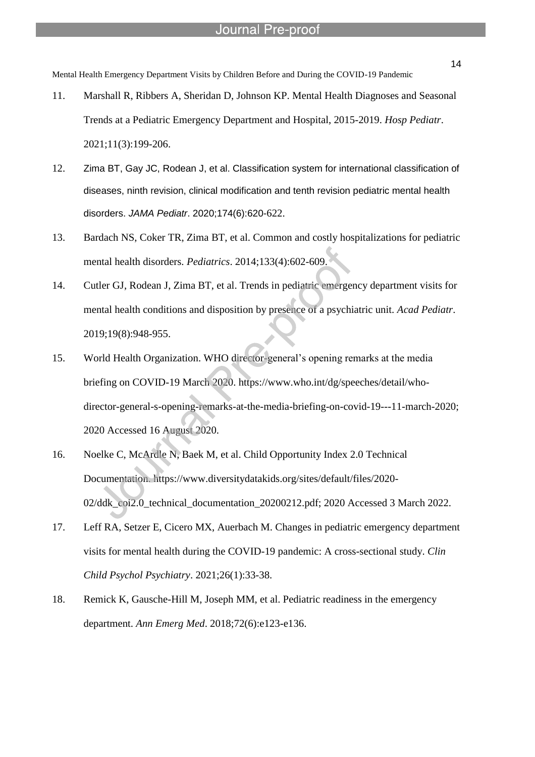Mental Health Emergency Department Visits by Children Before and During the COVID-19 Pandemic

l

- 11. Marshall R, Ribbers A, Sheridan D, Johnson KP. Mental Health Diagnoses and Seasonal Trends at a Pediatric Emergency Department and Hospital, 2015-2019. *Hosp Pediatr*. 2021;11(3):199-206.
- 12. Zima BT, Gay JC, Rodean J, et al. Classification system for international classification of diseases, ninth revision, clinical modification and tenth revision pediatric mental health disorders. *JAMA Pediatr*. 2020;174(6):620-622.
- 13. Bardach NS, Coker TR, Zima BT, et al. Common and costly hospitalizations for pediatric mental health disorders. *Pediatrics*. 2014;133(4):602-609.
- 14. Cutler GJ, Rodean J, Zima BT, et al. Trends in pediatric emergency department visits for mental health conditions and disposition by presence of a psychiatric unit. *Acad Pediatr*. 2019;19(8):948-955.
- 15. World Health Organization. WHO director-general's opening remarks at the media briefing on COVID-19 March 2020. https://www.who.int/dg/speeches/detail/whodirector-general-s-opening-remarks-at-the-media-briefing-on-covid-19---11-march-2020; 2020 Accessed 16 August 2020.
- 16. Noelke C, McArdle N, Baek M, et al. Child Opportunity Index 2.0 Technical Documentation. https://www.diversitydatakids.org/sites/default/files/2020- 02/ddk\_coi2.0\_technical\_documentation\_20200212.pdf; 2020 Accessed 3 March 2022.
- 17. Leff RA, Setzer E, Cicero MX, Auerbach M. Changes in pediatric emergency department visits for mental health during the COVID-19 pandemic: A cross-sectional study. *Clin Child Psychol Psychiatry*. 2021;26(1):33-38.
- 18. Remick K, Gausche-Hill M, Joseph MM, et al. Pediatric readiness in the emergency department. *Ann Emerg Med*. 2018;72(6):e123-e136.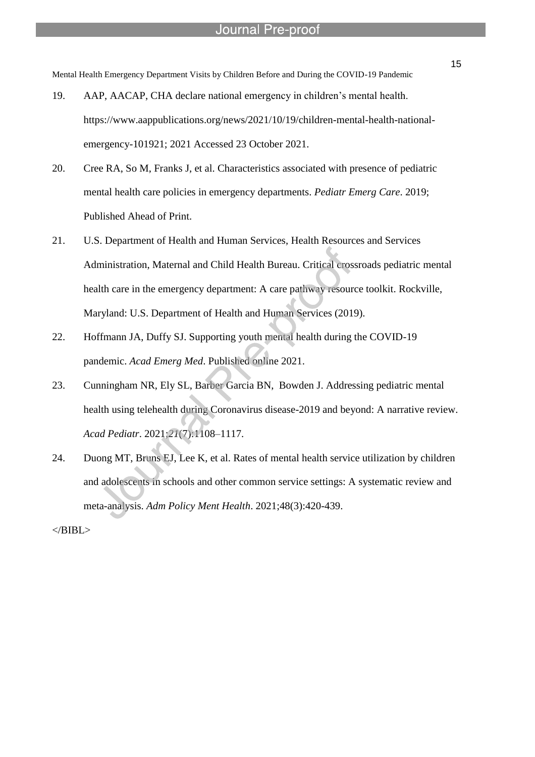Mental Health Emergency Department Visits by Children Before and During the COVID-19 Pandemic

l

- 19. AAP, AACAP, CHA declare national emergency in children's mental health. https://www.aappublications.org/news/2021/10/19/children-mental-health-nationalemergency-101921; 2021 Accessed 23 October 2021.
- 20. Cree RA, So M, Franks J, et al. Characteristics associated with presence of pediatric mental health care policies in emergency departments. *Pediatr Emerg Care*. 2019; Published Ahead of Print.
- 21. U.S. Department of Health and Human Services, Health Resources and Services Administration, Maternal and Child Health Bureau. Critical crossroads pediatric mental health care in the emergency department: A care pathway resource toolkit. Rockville, Maryland: U.S. Department of Health and Human Services (2019).
- 22. Hoffmann JA, Duffy SJ. Supporting youth mental health during the COVID-19 pandemic. *Acad Emerg Med*. Published online 2021.
- 23. Cunningham NR, Ely SL, Barber Garcia BN, Bowden J. Addressing pediatric mental health using telehealth during Coronavirus disease-2019 and beyond: A narrative review. *Acad Pediatr*. 2021;*21*(7):1108–1117.
- 24. Duong MT, Bruns EJ, Lee K, et al. Rates of mental health service utilization by children and adolescents in schools and other common service settings: A systematic review and meta-analysis. *Adm Policy Ment Health*. 2021;48(3):420-439.

 $<$ /BIBL $>$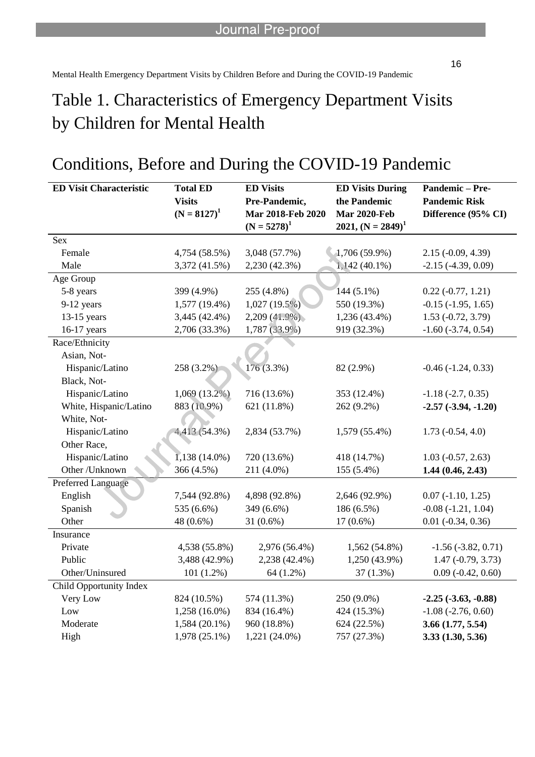l

# Conditions, Before and During the COVID-19 Pandemic

| <b>ED Visit Characteristic</b> | <b>Total ED</b> | <b>ED Visits</b>  | <b>ED Visits During</b> | Pandemic-Pre-               |
|--------------------------------|-----------------|-------------------|-------------------------|-----------------------------|
|                                | <b>Visits</b>   | Pre-Pandemic,     | the Pandemic            | <b>Pandemic Risk</b>        |
|                                | $(N = 8127)^1$  | Mar 2018-Feb 2020 | <b>Mar 2020-Feb</b>     | Difference (95% CI)         |
|                                |                 | $(N = 5278)^1$    | 2021, $(N = 2849)^1$    |                             |
| Sex                            |                 |                   |                         |                             |
| Female                         | 4,754 (58.5%)   | 3,048 (57.7%)     | 1,706 (59.9%)           | $2.15(-0.09, 4.39)$         |
| Male                           | 3,372 (41.5%)   | 2,230 (42.3%)     | $1,142(40.1\%)$         | $-2.15$ $(-4.39, 0.09)$     |
| Age Group                      |                 |                   |                         |                             |
| 5-8 years                      | 399 (4.9%)      | 255 (4.8%)        | $144(5.1\%)$            | $0.22(-0.77, 1.21)$         |
| 9-12 years                     | 1,577 (19.4%)   | 1,027(19.5%)      | 550 (19.3%)             | $-0.15$ $(-1.95, 1.65)$     |
| $13-15$ years                  | 3,445 (42.4%)   | $2,209(41.9\%)$   | 1,236 (43.4%)           | $1.53(-0.72, 3.79)$         |
| 16-17 years                    | 2,706 (33.3%)   | 1,787 (33.9%)     | 919 (32.3%)             | $-1.60$ $(-3.74, 0.54)$     |
| Race/Ethnicity                 |                 |                   |                         |                             |
| Asian, Not-                    |                 |                   |                         |                             |
| Hispanic/Latino                | 258 (3.2%)      | $176(3.3\%)$      | 82 (2.9%)               | $-0.46$ $(-1.24, 0.33)$     |
| Black, Not-                    |                 |                   |                         |                             |
| Hispanic/Latino                | $1,069(13.2\%)$ | 716 (13.6%)       | 353 (12.4%)             | $-1.18$ $(-2.7, 0.35)$      |
| White, Hispanic/Latino         | 883 (10.9%)     | 621 (11.8%)       | 262 (9.2%)              | $-2.57(-3.94, -1.20)$       |
| White, Not-                    |                 |                   |                         |                             |
| Hispanic/Latino                | 4,413 (54.3%)   | 2,834 (53.7%)     | 1,579 (55.4%)           | $1.73(-0.54, 4.0)$          |
| Other Race,                    |                 |                   |                         |                             |
| Hispanic/Latino                | $1,138(14.0\%)$ | 720 (13.6%)       | 418 (14.7%)             | $1.03$ ( $-0.57$ , 2.63)    |
| Other /Unknown                 | 366 (4.5%)      | 211 (4.0%)        | 155 (5.4%)              | 1.44(0.46, 2.43)            |
| Preferred Language             |                 |                   |                         |                             |
| English                        | 7,544 (92.8%)   | 4,898 (92.8%)     | 2,646 (92.9%)           | $0.07$ ( $-1.10$ , $1.25$ ) |
| Spanish                        | 535 (6.6%)      | 349 (6.6%)        | 186 (6.5%)              | $-0.08$ $(-1.21, 1.04)$     |
| Other                          | 48 (0.6%)       | $31(0.6\%)$       | $17(0.6\%)$             | $0.01$ ( $-0.34$ , $0.36$ ) |
| Insurance                      |                 |                   |                         |                             |
| Private                        | 4,538 (55.8%)   | 2,976 (56.4%)     | 1,562 (54.8%)           | $-1.56$ $(-3.82, 0.71)$     |
| Public                         | 3,488 (42.9%)   | 2,238 (42.4%)     | 1,250 (43.9%)           | $1.47(-0.79, 3.73)$         |
| Other/Uninsured                | $101(1.2\%)$    | 64 (1.2%)         | $37(1.3\%)$             | $0.09$ ( $-0.42$ , $0.60$ ) |
| Child Opportunity Index        |                 |                   |                         |                             |
| Very Low                       | 824 (10.5%)     | 574 (11.3%)       | 250 (9.0%)              | $-2.25(-3.63,-0.88)$        |
| Low                            | $1,258(16.0\%)$ | 834 (16.4%)       | 424 (15.3%)             | $-1.08$ $(-2.76, 0.60)$     |
| Moderate                       | $1,584(20.1\%)$ | 960 (18.8%)       | 624 (22.5%)             | 3.66 (1.77, 5.54)           |
| High                           | 1,978 (25.1%)   | 1,221 (24.0%)     | 757 (27.3%)             | 3.33(1.30, 5.36)            |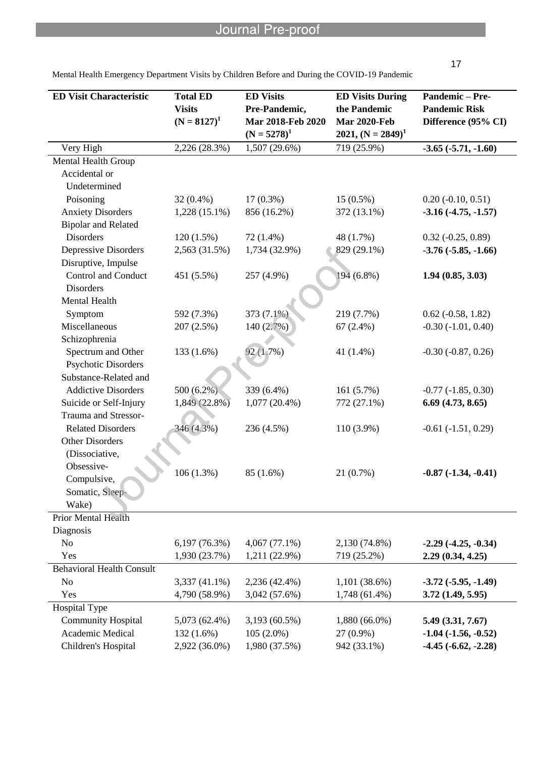| ٦<br>۰. |  |
|---------|--|
|         |  |

| <b>ED Visit Characteristic</b>   | <b>Total ED</b><br><b>Visits</b><br>$(N = 8127)^1$ | <b>ED Visits</b><br>Pre-Pandemic,<br>Mar 2018-Feb 2020<br>$(N = 5278)^1$ | <b>ED Visits During</b><br>the Pandemic<br><b>Mar 2020-Feb</b><br>2021, $(N = 2849)^1$ | Pandemic-Pre-<br><b>Pandemic Risk</b><br>Difference (95% CI) |
|----------------------------------|----------------------------------------------------|--------------------------------------------------------------------------|----------------------------------------------------------------------------------------|--------------------------------------------------------------|
| Very High                        | 2,226 (28.3%)                                      | $1,507(29.6\%)$                                                          | 719 (25.9%)                                                                            | $-3.65(-5.71,-1.60)$                                         |
| Mental Health Group              |                                                    |                                                                          |                                                                                        |                                                              |
| Accidental or                    |                                                    |                                                                          |                                                                                        |                                                              |
| Undetermined                     |                                                    |                                                                          |                                                                                        |                                                              |
| Poisoning                        | $32(0.4\%)$                                        | $17(0.3\%)$                                                              | $15(0.5\%)$                                                                            | $0.20$ ( $-0.10$ , $0.51$ )                                  |
| <b>Anxiety Disorders</b>         | $1,228(15.1\%)$                                    | 856 (16.2%)                                                              | 372 (13.1%)                                                                            | $-3.16(-4.75,-1.57)$                                         |
| <b>Bipolar and Related</b>       |                                                    |                                                                          |                                                                                        |                                                              |
| <b>Disorders</b>                 | 120(1.5%)                                          | 72 (1.4%)                                                                | 48 (1.7%)                                                                              | $0.32$ ( $-0.25$ , $0.89$ )                                  |
| <b>Depressive Disorders</b>      | 2,563 (31.5%)                                      | 1,734 (32.9%)                                                            | 829 (29.1%)                                                                            | $-3.76(-5.85,-1.66)$                                         |
| Disruptive, Impulse              |                                                    |                                                                          |                                                                                        |                                                              |
| <b>Control and Conduct</b>       | 451 (5.5%)                                         | 257 (4.9%)                                                               | 194 (6.8%)                                                                             | 1.94(0.85, 3.03)                                             |
| <b>Disorders</b>                 |                                                    |                                                                          |                                                                                        |                                                              |
| Mental Health                    |                                                    |                                                                          |                                                                                        |                                                              |
| Symptom                          | 592 (7.3%)                                         | 373 (7.1%)                                                               | 219 (7.7%)                                                                             | $0.62$ ( $-0.58$ , 1.82)                                     |
| Miscellaneous                    | 207(2.5%)                                          | 140 (2.7%)                                                               | 67 $(2.4\%)$                                                                           | $-0.30$ $(-1.01, 0.40)$                                      |
| Schizophrenia                    |                                                    |                                                                          |                                                                                        |                                                              |
| Spectrum and Other               | 133 (1.6%)                                         | 92 (1.7%)                                                                | 41 (1.4%)                                                                              | $-0.30$ $(-0.87, 0.26)$                                      |
| Psychotic Disorders              |                                                    |                                                                          |                                                                                        |                                                              |
| Substance-Related and            |                                                    |                                                                          |                                                                                        |                                                              |
| <b>Addictive Disorders</b>       | 500 (6.2%)                                         | 339 (6.4%)                                                               | 161(5.7%)                                                                              | $-0.77$ $(-1.85, 0.30)$                                      |
| Suicide or Self-Injury           | 1,849 (22.8%)                                      | $1,077(20.4\%)$                                                          | 772 (27.1%)                                                                            | 6.69(4.73, 8.65)                                             |
| Trauma and Stressor-             |                                                    |                                                                          |                                                                                        |                                                              |
| <b>Related Disorders</b>         | 346 (4.3%)                                         | 236 (4.5%)                                                               | 110 (3.9%)                                                                             | $-0.61$ $(-1.51, 0.29)$                                      |
| <b>Other Disorders</b>           |                                                    |                                                                          |                                                                                        |                                                              |
| (Dissociative,                   |                                                    |                                                                          |                                                                                        |                                                              |
| Obsessive-                       | 106 (1.3%)                                         | 85 (1.6%)                                                                | 21(0.7%)                                                                               | $-0.87(-1.34, -0.41)$                                        |
| Compulsive,                      |                                                    |                                                                          |                                                                                        |                                                              |
| Somatic, Sleep-                  |                                                    |                                                                          |                                                                                        |                                                              |
| Wake)                            |                                                    |                                                                          |                                                                                        |                                                              |
| <b>Prior Mental Health</b>       |                                                    |                                                                          |                                                                                        |                                                              |
| Diagnosis                        |                                                    |                                                                          |                                                                                        |                                                              |
| N <sub>o</sub>                   | 6,197(76.3%)                                       | 4,067 (77.1%)                                                            | 2,130 (74.8%)                                                                          | $-2.29(-4.25, -0.34)$                                        |
| Yes                              | 1,930 (23.7%)                                      | 1,211 (22.9%)                                                            | 719 (25.2%)                                                                            | 2.29(0.34, 4.25)                                             |
| <b>Behavioral Health Consult</b> |                                                    |                                                                          |                                                                                        |                                                              |
| N <sub>o</sub>                   | $3,337(41.1\%)$                                    | 2,236 (42.4%)                                                            | $1,101(38.6\%)$                                                                        | $-3.72(-5.95,-1.49)$                                         |
| Yes                              | 4,790 (58.9%)                                      | 3,042 (57.6%)                                                            | 1,748 (61.4%)                                                                          | 3.72(1.49, 5.95)                                             |
| Hospital Type                    |                                                    |                                                                          |                                                                                        |                                                              |
| <b>Community Hospital</b>        | 5,073 (62.4%)                                      | 3,193 (60.5%)                                                            | 1,880 (66.0%)                                                                          | 5.49(3.31, 7.67)                                             |
| Academic Medical                 | 132 (1.6%)                                         | $105(2.0\%)$                                                             | 27 (0.9%)                                                                              | $-1.04$ $(-1.56, -0.52)$                                     |
| Children's Hospital              | 2,922 (36.0%)                                      | 1,980 (37.5%)                                                            | 942 (33.1%)                                                                            | $-4.45(-6.62,-2.28)$                                         |

l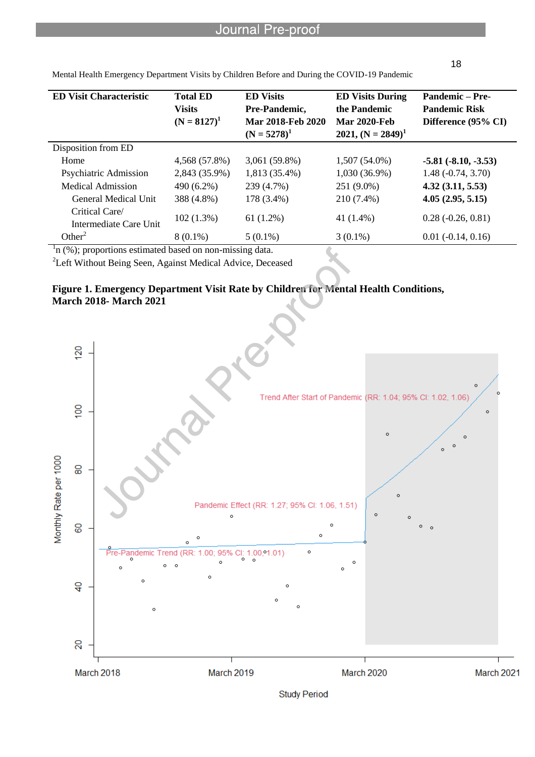| <b>ED Visit Characteristic</b>                                | <b>Total ED</b><br><b>Visits</b><br>$(N = 8127)^1$ | <b>ED Visits</b><br>Pre-Pandemic,<br>Mar 2018-Feb 2020<br>$(N = 5278)^{1}$ | <b>ED Visits During</b><br>the Pandemic<br><b>Mar 2020-Feb</b><br>2021, $(N = 2849)^1$ | <b>Pandemic – Pre-</b><br><b>Pandemic Risk</b><br>Difference (95% CI) |
|---------------------------------------------------------------|----------------------------------------------------|----------------------------------------------------------------------------|----------------------------------------------------------------------------------------|-----------------------------------------------------------------------|
| Disposition from ED                                           |                                                    |                                                                            |                                                                                        |                                                                       |
| Home                                                          | 4,568 (57.8%)                                      | 3,061 (59.8%)                                                              | $1,507(54.0\%)$                                                                        | $-5.81 (-8.10, -3.53)$                                                |
| Psychiatric Admission                                         | 2,843 (35.9%)                                      | 1,813 (35.4%)                                                              | $1,030(36.9\%)$                                                                        | $1.48(-0.74, 3.70)$                                                   |
| Medical Admission                                             | 490 (6.2%)                                         | 239 (4.7%)                                                                 | 251 (9.0%)                                                                             | 4.32(3.11, 5.53)                                                      |
| General Medical Unit                                          | 388 (4.8%)                                         | 178 (3.4%)                                                                 | 210 (7.4%)                                                                             | 4.05(2.95, 5.15)                                                      |
| Critical Care/<br>Intermediate Care Unit                      | 102(1.3%)                                          | $61(1.2\%)$                                                                | 41 (1.4%)                                                                              | $0.28(-0.26, 0.81)$                                                   |
| Other <sup>2</sup><br>$\sim$<br>$\sim$ $  -$<br>$\sim$ $\sim$ | $8(0.1\%)$                                         | $5(0.1\%)$                                                                 | $3(0.1\%)$                                                                             | $0.01$ ( $-0.14$ , $0.16$ )                                           |

l

 $\ln$  (%); proportions estimated based on non-missing data.

<sup>2</sup>Left Without Being Seen, Against Medical Advice, Deceased